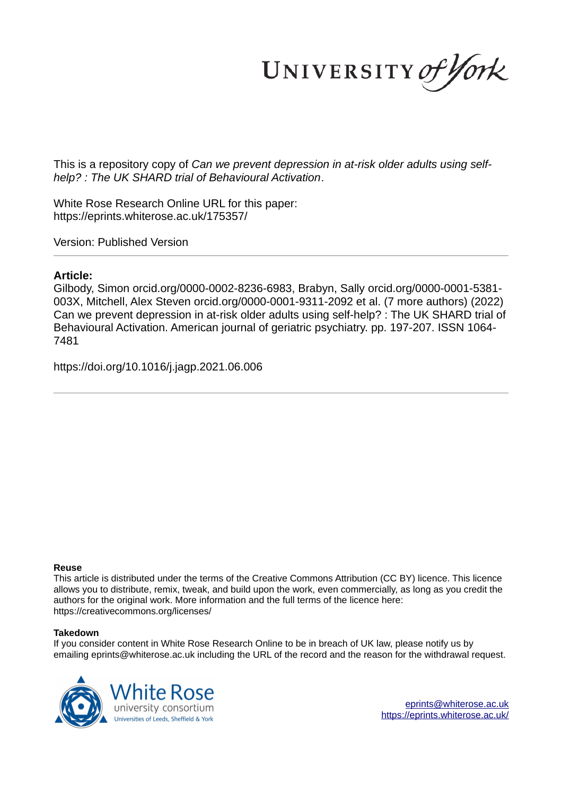UNIVERSITY of York

This is a repository copy of *Can we prevent depression in at-risk older adults using selfhelp? : The UK SHARD trial of Behavioural Activation*.

White Rose Research Online URL for this paper: https://eprints.whiterose.ac.uk/175357/

Version: Published Version

# **Article:**

Gilbody, Simon orcid.org/0000-0002-8236-6983, Brabyn, Sally orcid.org/0000-0001-5381- 003X, Mitchell, Alex Steven orcid.org/0000-0001-9311-2092 et al. (7 more authors) (2022) Can we prevent depression in at-risk older adults using self-help? : The UK SHARD trial of Behavioural Activation. American journal of geriatric psychiatry, pp. 197-207. ISSN 1064-7481

https://doi.org/10.1016/j.jagp.2021.06.006

## **Reuse**

This article is distributed under the terms of the Creative Commons Attribution (CC BY) licence. This licence allows you to distribute, remix, tweak, and build upon the work, even commercially, as long as you credit the authors for the original work. More information and the full terms of the licence here: https://creativecommons.org/licenses/

## **Takedown**

If you consider content in White Rose Research Online to be in breach of UK law, please notify us by emailing eprints@whiterose.ac.uk including the URL of the record and the reason for the withdrawal request.



eprints@whiterose.ac.uk https://eprints.whiterose.ac.uk/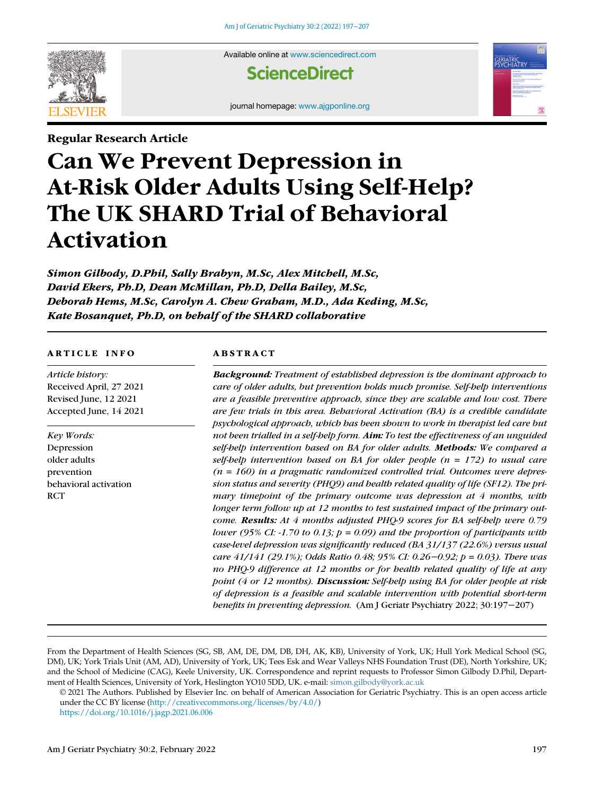

Available online at www.sciencedirect.com

**ScienceDirect** 

journal homepage: www.ajgponline.org

Regular Research Article

# Can We Prevent Depression in At-Risk Older Adults Using Self-Help? The UK SHARD Trial of Behavioral Activation

Simon Gilbody, D.Phil, Sally Brabyn, M.Sc, Alex Mitchell, M.Sc, David Ekers, Ph.D, Dean McMillan, Ph.D, Della Bailey, M.Sc, Deborah Hems, M.Sc, Carolyn A. Chew Graham, M.D., Ada Keding, M.Sc, Kate Bosanquet, Ph.D, on behalf of the SHARD collaborative

#### ARTICLE INFO

*Article history:* Received April, 27 2021 Revised June, 12 2021 Accepted June, 14 2021

*Key Words:* Depression older adults prevention behavioral activation **RCT** 

#### ABSTRACT

Background: *Treatment of established depression is the dominant approach to care of older adults, but prevention holds much promise. Self-help interventions are a feasible preventive approach, since they are scalable and low cost. There are few trials in this area. Behavioral Activation (BA) is a credible candidate psychological approach, which has been shown to work in therapist led care but not been trialled in a self-help form.* Aim: *To test the effectiveness of an unguided self-help intervention based on BA for older adults.* Methods: *We compared a self-help intervention based on BA for older people (n = 172) to usual care (n = 160) in a pragmatic randomized controlled trial. Outcomes were depression status and severity (PHQ9) and health related quality of life (SF12). The primary timepoint of the primary outcome was depression at 4 months, with longer term follow up at 12 months to test sustained impact of the primary outcome.* Results: *At 4 months adjusted PHQ-9 scores for BA self-help were 0.79 lower (95% CI: -1.70 to 0.13; p = 0.09) and the proportion of participants with case-level depression was significantly reduced (BA 31/137 (22.6%) versus usual care 41/141 (29.1%); Odds Ratio 0.48; 95% CI: 0.26*−*0.92; p = 0.03). There was no PHQ-9 difference at 12 months or for health related quality of life at any point (4 or 12 months).* Discussion: *Self-help using BA for older people at risk of depression is a feasible and scalable intervention with potential short-term benefits in preventing depression.* (Am J Geriatr Psychiatry 2022; 30:197−207)

From the Department of Health Sciences (SG, SB, AM, DE, DM, DB, DH, AK, KB), University of York, UK; Hull York Medical School (SG, DM), UK; York Trials Unit (AM, AD), University of York, UK; Tees Esk and Wear Valleys NHS Foundation Trust (DE), North Yorkshire, UK; and the School of Medicine (CAG), Keele University, UK. Correspondence and reprint requests to Professor Simon Gilbody D.Phil, Department of Health Sciences, University of York, Heslington YO10 5DD, UK. e-mail: simon.gilbody@york.ac.uk

© 2021 The Authors. Published by Elsevier Inc. on behalf of American Association for Geriatric Psychiatry. This is an open access article under the CC BY license (http://creativecommons.org/licenses/by/4.0/)

https://doi.org/10.1016/j.jagp.2021.06.006

**GERIATRIC**<br>PSYCHIAT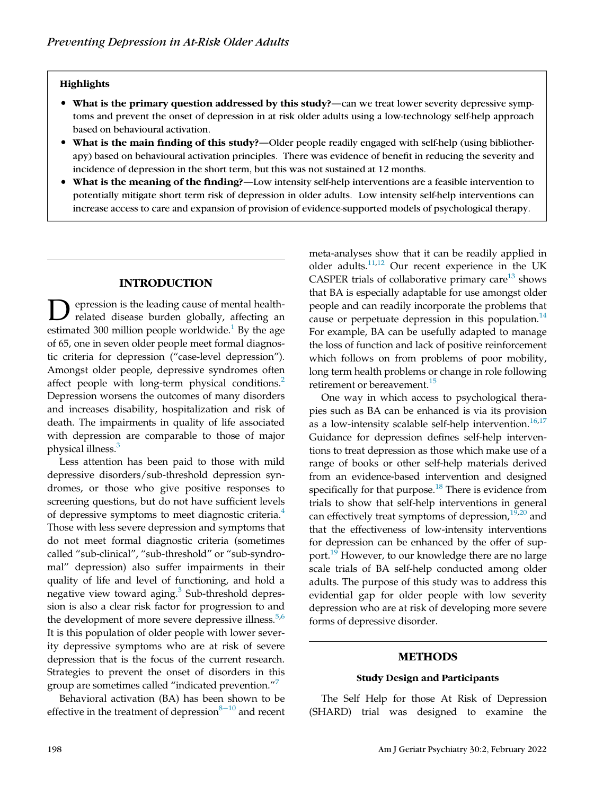## **Highlights**

- What is the primary question addressed by this study?—can we treat lower severity depressive symptoms and prevent the onset of depression in at risk older adults using a low-technology self-help approach based on behavioural activation.
- What is the main finding of this study?—Older people readily engaged with self-help (using bibliotherapy) based on behavioural activation principles. There was evidence of benefit in reducing the severity and incidence of depression in the short term, but this was not sustained at 12 months.
- What is the meaning of the finding?—Low intensity self-help interventions are a feasible intervention to potentially mitigate short term risk of depression in older adults. Low intensity self-help interventions can increase access to care and expansion of provision of evidence-supported models of psychological therapy.

## INTRODUCTION

**D** epression is the leading cause of mental health-<br>related disease burden globally, affecting an<br>estimated 300 million people worldwide.<sup>1</sup> By the age epression is the leading cause of mental healthrelated disease burden globally, affecting an of 65, one in seven older people meet formal diagnostic criteria for depression ("case-level depression"). Amongst older people, depressive syndromes often affect people with long-term physical conditions.<sup>2</sup> Depression worsens the outcomes of many disorders and increases disability, hospitalization and risk of death. The impairments in quality of life associated with depression are comparable to those of major physical illness.<sup>3</sup>

Less attention has been paid to those with mild depressive disorders/sub-threshold depression syndromes, or those who give positive responses to screening questions, but do not have sufficient levels of depressive symptoms to meet diagnostic criteria.<sup>4</sup> Those with less severe depression and symptoms that do not meet formal diagnostic criteria (sometimes called "sub-clinical", "sub-threshold" or "sub-syndromal" depression) also suffer impairments in their quality of life and level of functioning, and hold a negative view toward aging.<sup>3</sup> Sub-threshold depression is also a clear risk factor for progression to and the development of more severe depressive illness.<sup>5,6</sup> It is this population of older people with lower severity depressive symptoms who are at risk of severe depression that is the focus of the current research. Strategies to prevent the onset of disorders in this group are sometimes called "indicated prevention." 7

Behavioral activation (BA) has been shown to be effective in the treatment of depression<sup>8−10</sup> and recent meta-analyses show that it can be readily applied in older adults.11,12 Our recent experience in the UK CASPER trials of collaborative primary care $^{13}$  shows that BA is especially adaptable for use amongst older people and can readily incorporate the problems that cause or perpetuate depression in this population. $14$ For example, BA can be usefully adapted to manage the loss of function and lack of positive reinforcement which follows on from problems of poor mobility, long term health problems or change in role following retirement or bereavement.<sup>15</sup>

One way in which access to psychological therapies such as BA can be enhanced is via its provision as a low-intensity scalable self-help intervention.<sup>16,17</sup> Guidance for depression defines self-help interventions to treat depression as those which make use of a range of books or other self-help materials derived from an evidence-based intervention and designed specifically for that purpose.<sup>18</sup> There is evidence from trials to show that self-help interventions in general can effectively treat symptoms of depression, $19,20$  and that the effectiveness of low-intensity interventions for depression can be enhanced by the offer of support.<sup>19</sup> However, to our knowledge there are no large scale trials of BA self-help conducted among older adults. The purpose of this study was to address this evidential gap for older people with low severity depression who are at risk of developing more severe forms of depressive disorder.

## METHODS

#### Study Design and Participants

The Self Help for those At Risk of Depression (SHARD) trial was designed to examine the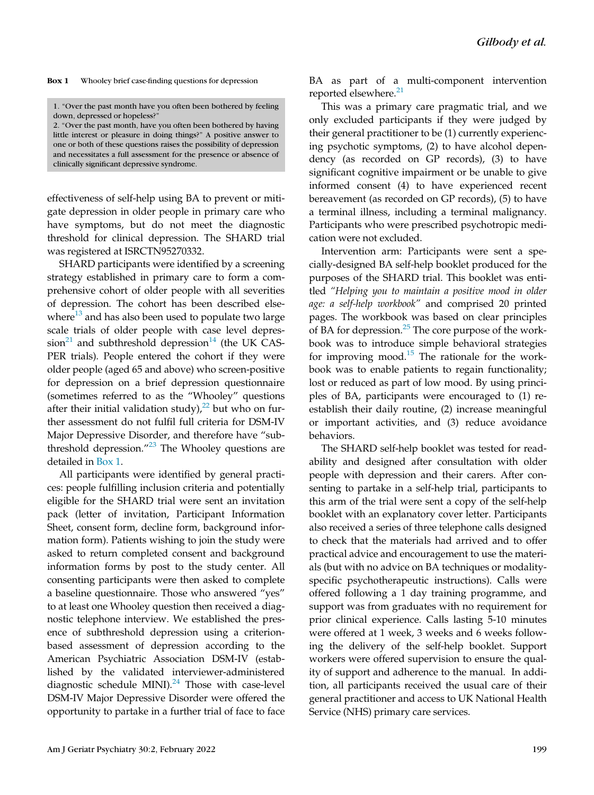Box 1 Whooley brief case-finding questions for depression

1. "Over the past month have you often been bothered by feeling down, depressed or hopeless?"

2. "Over the past month, have you often been bothered by having little interest or pleasure in doing things?" A positive answer to one or both of these questions raises the possibility of depression and necessitates a full assessment for the presence or absence of clinically significant depressive syndrome.

effectiveness of self-help using BA to prevent or mitigate depression in older people in primary care who have symptoms, but do not meet the diagnostic threshold for clinical depression. The SHARD trial was registered at ISRCTN95270332.

SHARD participants were identified by a screening strategy established in primary care to form a comprehensive cohort of older people with all severities of depression. The cohort has been described elsewhere $13$  and has also been used to populate two large scale trials of older people with case level depres $sion<sup>21</sup>$  and subthreshold depression<sup>14</sup> (the UK CAS-PER trials). People entered the cohort if they were older people (aged 65 and above) who screen-positive for depression on a brief depression questionnaire (sometimes referred to as the "Whooley" questions after their initial validation study),<sup>22</sup> but who on further assessment do not fulfil full criteria for DSM-IV Major Depressive Disorder, and therefore have "subthreshold depression."<sup>23</sup> The Whooley questions are detailed in Box 1.

All participants were identified by general practices: people fulfilling inclusion criteria and potentially eligible for the SHARD trial were sent an invitation pack (letter of invitation, Participant Information Sheet, consent form, decline form, background information form). Patients wishing to join the study were asked to return completed consent and background information forms by post to the study center. All consenting participants were then asked to complete a baseline questionnaire. Those who answered "yes" to at least one Whooley question then received a diagnostic telephone interview. We established the presence of subthreshold depression using a criterionbased assessment of depression according to the American Psychiatric Association DSM-IV (established by the validated interviewer-administered diagnostic schedule MINI). $^{24}$  Those with case-level DSM-IV Major Depressive Disorder were offered the opportunity to partake in a further trial of face to face BA as part of a multi-component intervention reported elsewhere.<sup>21</sup>

This was a primary care pragmatic trial, and we only excluded participants if they were judged by their general practitioner to be (1) currently experiencing psychotic symptoms, (2) to have alcohol dependency (as recorded on GP records), (3) to have significant cognitive impairment or be unable to give informed consent (4) to have experienced recent bereavement (as recorded on GP records), (5) to have a terminal illness, including a terminal malignancy. Participants who were prescribed psychotropic medication were not excluded.

Intervention arm: Participants were sent a specially-designed BA self-help booklet produced for the purposes of the SHARD trial. This booklet was entitled "Helping you to maintain a positive mood in older age: a self-help workbook" and comprised 20 printed pages. The workbook was based on clear principles of BA for depression. $25$  The core purpose of the workbook was to introduce simple behavioral strategies for improving mood. $15$  The rationale for the workbook was to enable patients to regain functionality; lost or reduced as part of low mood. By using principles of BA, participants were encouraged to (1) reestablish their daily routine, (2) increase meaningful or important activities, and (3) reduce avoidance behaviors.

The SHARD self-help booklet was tested for readability and designed after consultation with older people with depression and their carers. After consenting to partake in a self-help trial, participants to this arm of the trial were sent a copy of the self-help booklet with an explanatory cover letter. Participants also received a series of three telephone calls designed to check that the materials had arrived and to offer practical advice and encouragement to use the materials (but with no advice on BA techniques or modalityspecific psychotherapeutic instructions). Calls were offered following a 1 day training programme, and support was from graduates with no requirement for prior clinical experience. Calls lasting 5-10 minutes were offered at 1 week, 3 weeks and 6 weeks following the delivery of the self-help booklet. Support workers were offered supervision to ensure the quality of support and adherence to the manual. In addition, all participants received the usual care of their general practitioner and access to UK National Health Service (NHS) primary care services.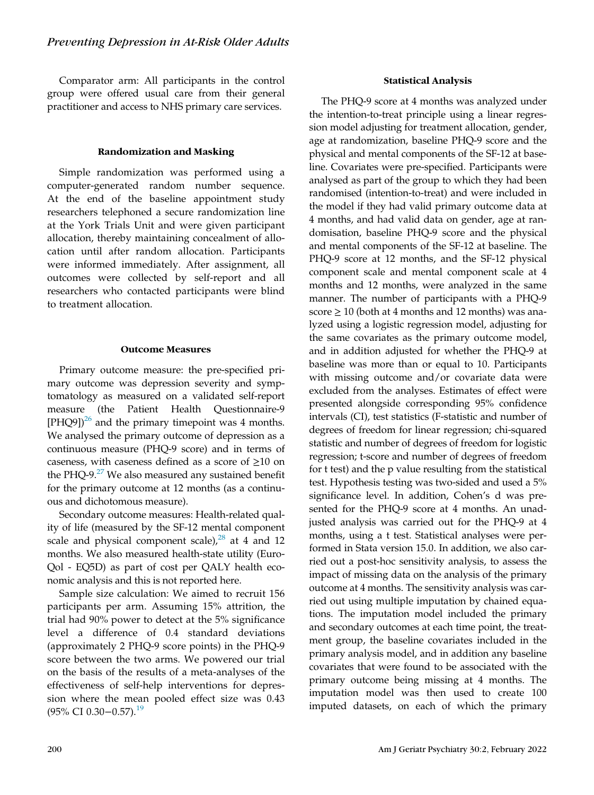Comparator arm: All participants in the control group were offered usual care from their general practitioner and access to NHS primary care services.

## Randomization and Masking

Simple randomization was performed using a computer-generated random number sequence. At the end of the baseline appointment study researchers telephoned a secure randomization line at the York Trials Unit and were given participant allocation, thereby maintaining concealment of allocation until after random allocation. Participants were informed immediately. After assignment, all outcomes were collected by self-report and all researchers who contacted participants were blind to treatment allocation.

#### Outcome Measures

Primary outcome measure: the pre-specified primary outcome was depression severity and symptomatology as measured on a validated self-report measure (the Patient Health Questionnaire-9  $[PHQ9]$ <sup>26</sup> and the primary timepoint was 4 months. We analysed the primary outcome of depression as a continuous measure (PHQ-9 score) and in terms of caseness, with caseness defined as a score of  $\geq$ 10 on the PHQ-9. $27$  We also measured any sustained benefit for the primary outcome at 12 months (as a continuous and dichotomous measure).

Secondary outcome measures: Health-related quality of life (measured by the SF-12 mental component scale and physical component scale), $^{28}$  at 4 and 12 months. We also measured health-state utility (Euro-Qol - EQ5D) as part of cost per QALY health economic analysis and this is not reported here.

Sample size calculation: We aimed to recruit 156 participants per arm. Assuming 15% attrition, the trial had 90% power to detect at the 5% significance level a difference of 0.4 standard deviations (approximately 2 PHQ-9 score points) in the PHQ-9 score between the two arms. We powered our trial on the basis of the results of a meta-analyses of the effectiveness of self-help interventions for depression where the mean pooled effect size was 0.43 (95% CI 0.30−0.57).<sup>19</sup>

#### Statistical Analysis

The PHQ-9 score at 4 months was analyzed under the intention-to-treat principle using a linear regression model adjusting for treatment allocation, gender, age at randomization, baseline PHQ-9 score and the physical and mental components of the SF-12 at baseline. Covariates were pre-specified. Participants were analysed as part of the group to which they had been randomised (intention-to-treat) and were included in the model if they had valid primary outcome data at 4 months, and had valid data on gender, age at randomisation, baseline PHQ-9 score and the physical and mental components of the SF-12 at baseline. The PHQ-9 score at 12 months, and the SF-12 physical component scale and mental component scale at 4 months and 12 months, were analyzed in the same manner. The number of participants with a PHQ-9 score  $\geq 10$  (both at 4 months and 12 months) was analyzed using a logistic regression model, adjusting for the same covariates as the primary outcome model, and in addition adjusted for whether the PHQ-9 at baseline was more than or equal to 10. Participants with missing outcome and/or covariate data were excluded from the analyses. Estimates of effect were presented alongside corresponding 95% confidence intervals (CI), test statistics (F-statistic and number of degrees of freedom for linear regression; chi-squared statistic and number of degrees of freedom for logistic regression; t-score and number of degrees of freedom for t test) and the p value resulting from the statistical test. Hypothesis testing was two-sided and used a 5% significance level. In addition, Cohen's d was presented for the PHQ-9 score at 4 months. An unadjusted analysis was carried out for the PHQ-9 at 4 months, using a t test. Statistical analyses were performed in Stata version 15.0. In addition, we also carried out a post-hoc sensitivity analysis, to assess the impact of missing data on the analysis of the primary outcome at 4 months. The sensitivity analysis was carried out using multiple imputation by chained equations. The imputation model included the primary and secondary outcomes at each time point, the treatment group, the baseline covariates included in the primary analysis model, and in addition any baseline covariates that were found to be associated with the primary outcome being missing at 4 months. The imputation model was then used to create 100 imputed datasets, on each of which the primary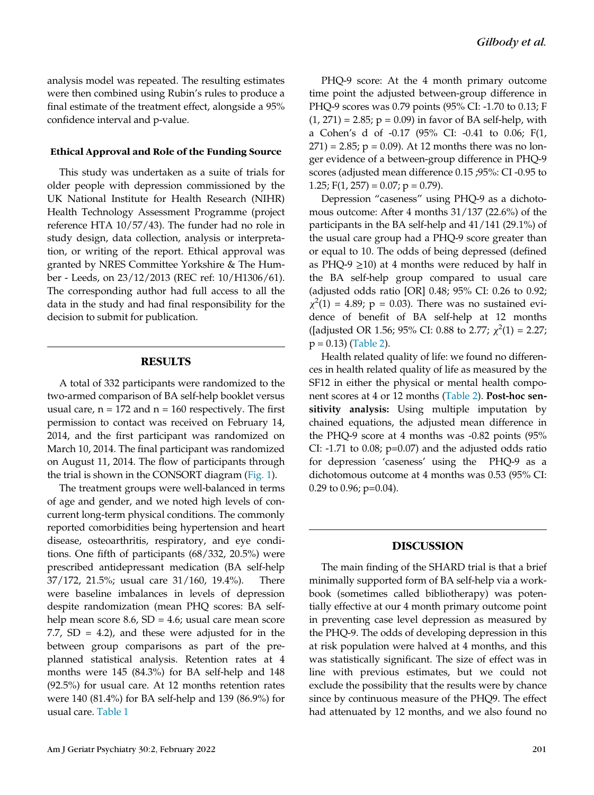analysis model was repeated. The resulting estimates were then combined using Rubin's rules to produce a final estimate of the treatment effect, alongside a 95% confidence interval and p-value.

#### Ethical Approval and Role of the Funding Source

This study was undertaken as a suite of trials for older people with depression commissioned by the UK National Institute for Health Research (NIHR) Health Technology Assessment Programme (project reference HTA 10/57/43). The funder had no role in study design, data collection, analysis or interpretation, or writing of the report. Ethical approval was granted by NRES Committee Yorkshire & The Humber - Leeds, on 23/12/2013 (REC ref: 10/H1306/61). The corresponding author had full access to all the data in the study and had final responsibility for the decision to submit for publication.

## RESULTS

A total of 332 participants were randomized to the two-armed comparison of BA self-help booklet versus usual care,  $n = 172$  and  $n = 160$  respectively. The first permission to contact was received on February 14, 2014, and the first participant was randomized on March 10, 2014. The final participant was randomized on August 11, 2014. The flow of participants through the trial is shown in the CONSORT diagram (Fig. 1).

The treatment groups were well-balanced in terms of age and gender, and we noted high levels of concurrent long-term physical conditions. The commonly reported comorbidities being hypertension and heart disease, osteoarthritis, respiratory, and eye conditions. One fifth of participants (68/332, 20.5%) were prescribed antidepressant medication (BA self-help 37/172, 21.5%; usual care 31/160, 19.4%). There were baseline imbalances in levels of depression despite randomization (mean PHQ scores: BA selfhelp mean score  $8.6$ ,  $SD = 4.6$ ; usual care mean score 7.7,  $SD = 4.2$ ), and these were adjusted for in the between group comparisons as part of the preplanned statistical analysis. Retention rates at 4 months were 145 (84.3%) for BA self-help and 148 (92.5%) for usual care. At 12 months retention rates were 140 (81.4%) for BA self-help and 139 (86.9%) for usual care. Table 1

PHQ-9 score: At the 4 month primary outcome time point the adjusted between-group difference in PHQ-9 scores was 0.79 points (95% CI: -1.70 to 0.13; F  $(1, 271) = 2.85$ ;  $p = 0.09$ ) in favor of BA self-help, with a Cohen's d of -0.17 (95% CI: -0.41 to 0.06; F(1,  $271$ ) = 2.85; p = 0.09). At 12 months there was no longer evidence of a between-group difference in PHQ-9 scores (adjusted mean difference 0.15 ;95%: CI -0.95 to 1.25;  $F(1, 257) = 0.07$ ;  $p = 0.79$ ).

Depression "caseness" using PHQ-9 as a dichotomous outcome: After 4 months 31/137 (22.6%) of the participants in the BA self-help and 41/141 (29.1%) of the usual care group had a PHQ-9 score greater than or equal to 10. The odds of being depressed (defined as PHQ-9  $\geq$ 10) at 4 months were reduced by half in the BA self-help group compared to usual care (adjusted odds ratio [OR] 0.48; 95% CI: 0.26 to 0.92;  $\chi^2(1) = 4.89$ ; p = 0.03). There was no sustained evidence of benefit of BA self-help at 12 months ([adjusted OR 1.56; 95% CI: 0.88 to 2.77;  $\chi^2(1) = 2.27$ ;  $p = 0.13$ ) (Table 2).

Health related quality of life: we found no differences in health related quality of life as measured by the SF12 in either the physical or mental health component scores at 4 or 12 months (Table 2). Post-hoc sensitivity analysis: Using multiple imputation by chained equations, the adjusted mean difference in the PHQ-9 score at 4 months was -0.82 points (95% CI:  $-1.71$  to 0.08;  $p=0.07$ ) and the adjusted odds ratio for depression 'caseness' using the PHQ-9 as a dichotomous outcome at 4 months was 0.53 (95% CI: 0.29 to 0.96; p=0.04).

## DISCUSSION

The main finding of the SHARD trial is that a brief minimally supported form of BA self-help via a workbook (sometimes called bibliotherapy) was potentially effective at our 4 month primary outcome point in preventing case level depression as measured by the PHQ-9. The odds of developing depression in this at risk population were halved at 4 months, and this was statistically significant. The size of effect was in line with previous estimates, but we could not exclude the possibility that the results were by chance since by continuous measure of the PHQ9. The effect had attenuated by 12 months, and we also found no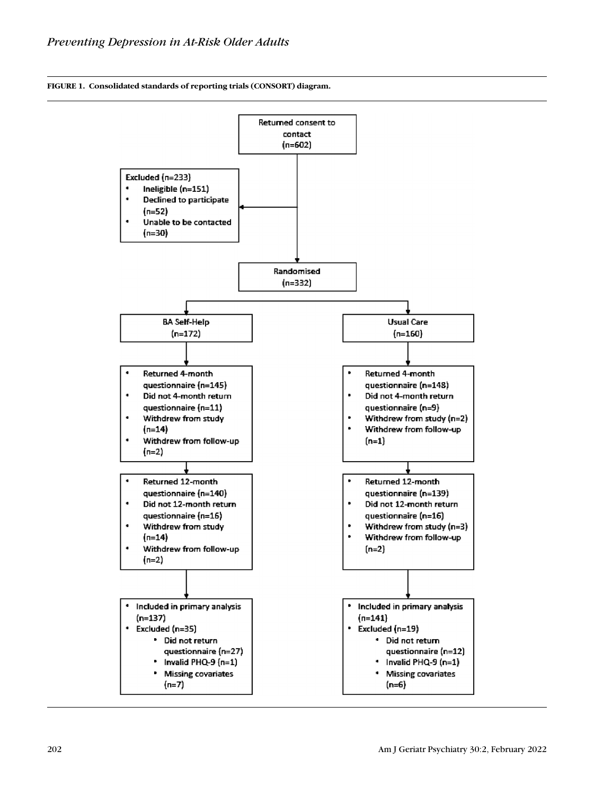FIGURE 1. Consolidated standards of reporting trials (CONSORT) diagram.

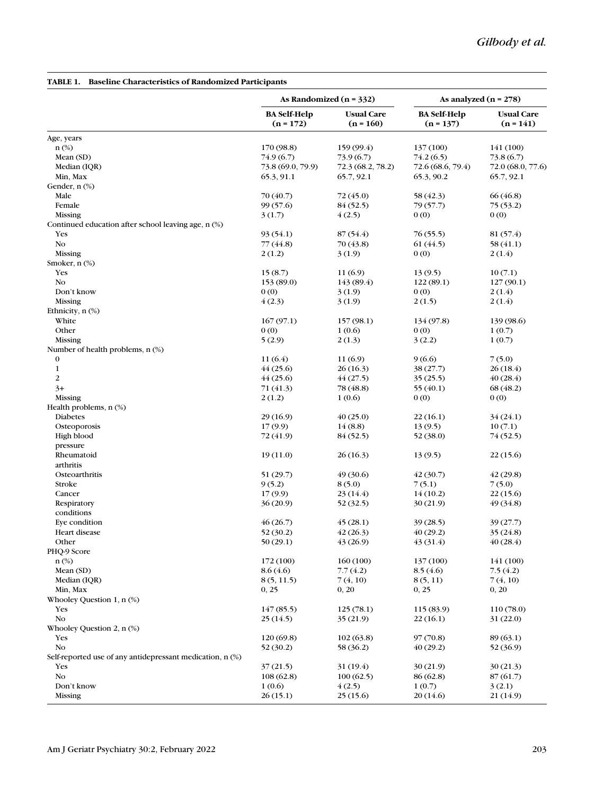#### As Randomized  $(n = 332)$  As analyzed  $(n = 278)$ BA Self-Help  $(n = 172)$ Usual Care  $(n = 160)$ BA Self-Help  $(n = 137)$ Usual Care  $(n = 141)$ Age, years n (%) 170 (98.8) 159 (99.4) 137 (100) 141 (100) Mean (SD)  $74.9 (6.7)$   $73.9 (6.7)$   $74.2 (6.5)$   $73.8 (6.7)$ Median (IQR) 73.8 (69.0, 79.9) 72.3 (68.2, 78.2) 72.6 (68.6, 79.4) 72.0 (68.0, 77.6) Min, Max 65.3, 91.1 65.7, 92.1 65.3, 90.2 65.7, 92.1 Gender, n (%) Male  $70 (40.7)$   $72 (45.0)$   $58 (42.3)$   $66 (46.8)$ Female 199 (57.6) 84 (52.5) 79 (57.7) 75 (53.2) Missing  $3(1.7)$   $4(2.5)$  0 (0) 0 (0) Continued education after school leaving age, n (%) Yes  $93(54.1)$   $87(54.4)$   $76(55.5)$   $81(57.4)$ No  $77(44.8)$   $70(43.8)$   $61(44.5)$   $58(41.1)$ Missing  $2(1.2)$   $3(1.9)$   $0(0)$   $2(1.4)$ Smoker, n (%) Yes  $15(8.7)$   $11(6.9)$   $13(9.5)$   $10(7.1)$ No  $153 (89.0)$   $143 (89.4)$   $122 (89.1)$   $127 (90.1)$ Don't know  $0 (0)$  3 (1.9)  $0 (0)$  2 (1.4) Missing  $4(2.3)$   $3(1.9)$   $2(1.5)$   $2(1.4)$ Ethnicity, n (%)<br>White White 167 (97.1) 157 (98.1) 134 (97.8) 139 (98.6) Other 0 (0)  $1 (0.6)$  0 (0)  $1 (0.7)$ Missing  $5 (2.9)$   $2 (1.3)$   $3 (2.2)$   $1 (0.7)$ Number of health problems, n (%) 0 11 (6.4) 11 (6.9) 9 (6.6) 7 (5.0) 1  $44(25.6)$   $26(16.3)$   $38(27.7)$   $26(18.4)$ 2  $44 (25.6)$   $44 (27.5)$   $35 (25.5)$   $40 (28.4)$  $3+$  71 (41.3) 78 (48.8) 55 (40.1) 68 (48.2) Missing  $2(1.2)$   $1(0.6)$   $0(0)$   $0(0)$ Health problems, n (%) Diabetes 29 (16.9)  $40 (25.0)$   $22 (16.1)$   $34 (24.1)$ Osteoporosis 17 (9.9) 14 (8.8) 13 (9.5) 10 (7.1) High blood  $72 (41.9)$   $84 (52.5)$   $52 (38.0)$   $74 (52.5)$ pressure Rheumatoid 19 (11.0) 26 (16.3) 13 (9.5) 22 (15.6) arthritis Osteoarthritis 61 (29.7) 49 (30.6) 42 (30.7) 42 (29.8) Stroke 9 (5.2) 8 (5.0)  $7(5.1)$  7 (5.0) Cancer 23 (14.4)  $23 (14.4)$   $14 (10.2)$   $22 (15.6)$ Respiratory 62 (34.8)  $36 (20.9)$   $52 (32.5)$   $30 (21.9)$   $49 (34.8)$ conditions Eye condition  $46 (26.7)$   $45 (28.1)$   $39 (28.5)$   $39 (27.7)$ Heart disease  $52(30.2)$   $42(26.3)$   $40(29.2)$   $35(24.8)$ Other  $50 (29.1)$   $43 (26.9)$   $43 (31.4)$   $40 (28.4)$ PHQ-9 Score n (%) 172 (100) 160 (100) 137 (100) 141 (100) Mean (SD)  $8.6(4.6)$   $7.7(4.2)$   $8.5(4.6)$   $7.5(4.2)$ Median (IQR)  $8(5, 11.5)$   $7(4, 10)$   $8(5, 11)$   $7(4, 10)$ Min, Max  $0, 25$   $0, 20$   $0, 25$   $0, 20$   $0, 25$   $0, 20$ Whooley Question 1, n (%) Yes  $147 (85.5)$   $125 (78.1)$   $115 (83.9)$   $110 (78.0)$ No  $25(14.5)$   $35(21.9)$   $22(16.1)$   $31(22.0)$ Whooley Question 2, n (%) Yes  $120 (69.8)$   $102 (63.8)$   $97 (70.8)$   $89 (63.1)$ No  $52(30.2)$   $58(36.2)$   $40(29.2)$   $52(36.9)$ Self-reported use of any antidepressant medication, n (%) Yes  $37 (21.5)$   $31 (19.4)$   $30 (21.9)$   $30 (21.3)$ No  $108 (62.8)$   $100 (62.5)$   $86 (62.8)$   $87 (61.7)$ Don't know  $1 (0.6)$   $4 (2.5)$   $1 (0.7)$   $3 (2.1)$ Missing 26 (15.1) 25 (15.6) 20 (14.6) 21 (14.9)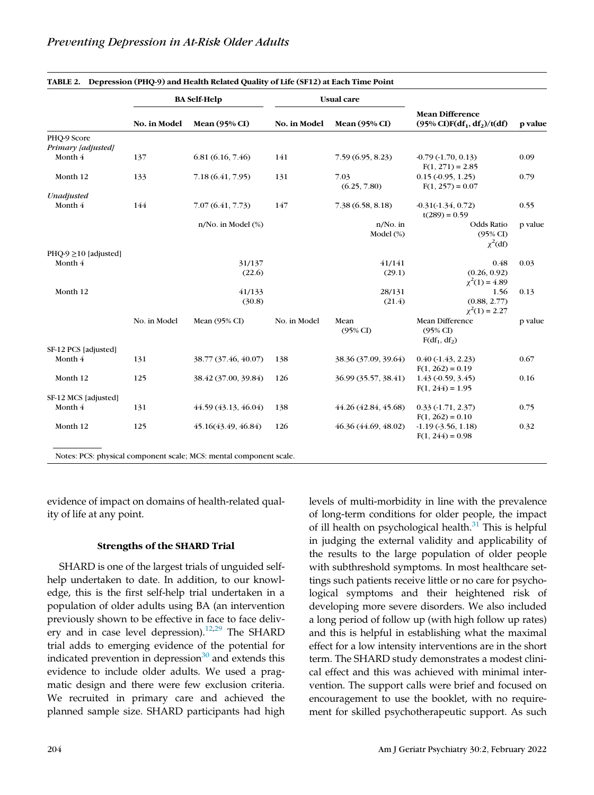|                                   | <b>BA Self-Help</b> |                      | <b>Usual</b> care |                         |                                                                    |         |
|-----------------------------------|---------------------|----------------------|-------------------|-------------------------|--------------------------------------------------------------------|---------|
|                                   | No. in Model        | <b>Mean</b> (95% CI) | No. in Model      | <b>Mean</b> (95% CI)    | <b>Mean Difference</b><br>$(95\% \text{ CI})F(df_1, df_2)/t(df)$   | p value |
| PHQ-9 Score<br>Primary [adjusted] |                     |                      |                   |                         |                                                                    |         |
| Month 4                           | 137                 | 6.81(6.16, 7.46)     | 141               | 7.59(6.95, 8.23)        | $-0.79(-1.70, 0.13)$<br>$F(1, 271) = 2.85$                         | 0.09    |
| Month 12                          | 133                 | 7.18 (6.41, 7.95)    | 131               | 7.03<br>(6.25, 7.80)    | $0.15(-0.95, 1.25)$<br>$F(1, 257) = 0.07$                          | 0.79    |
| Unadjusted                        |                     |                      |                   |                         |                                                                    |         |
| Month 4                           | 144                 | 7.07 (6.41, 7.73)    | 147               | 7.38(6.58, 8.18)        | $-0.31(-1.34, 0.72)$<br>$t(289) = 0.59$                            | 0.55    |
|                                   |                     | n/No. in Model (%)   |                   | $n/No.$ in<br>Model (%) | Odds Ratio<br>$(95\%$ CI)<br>$\chi^2$ (df)                         | p value |
| $PHQ-9 \ge 10$ [adjusted]         |                     |                      |                   |                         |                                                                    |         |
| Month 4                           |                     | 31/137               |                   | 41/141                  | 0.48                                                               | 0.03    |
|                                   |                     | (22.6)               |                   | (29.1)                  | (0.26, 0.92)<br>$\chi^2(1) = 4.89$                                 |         |
| Month 12                          |                     | 41/133               |                   | 28/131                  | 1.56                                                               | 0.13    |
|                                   |                     | (30.8)               |                   | (21.4)                  | (0.88, 2.77)<br>$\chi^2(1) = 2.27$                                 |         |
|                                   | No. in Model        | Mean $(95\%$ CI      | No. in Model      | Mean<br>$(95\%$ CI)     | <b>Mean Difference</b><br>(95% C <sub>D</sub> )<br>$F(df_1, df_2)$ | p value |
| SF-12 PCS [adjusted]              |                     |                      |                   |                         |                                                                    |         |
| Month 4                           | 131                 | 38.77 (37.46, 40.07) | 138               | 38.36 (37.09, 39.64)    | $0.40(-1.43, 2.23)$<br>$F(1, 262) = 0.19$                          | 0.67    |
| Month 12                          | 125                 | 38.42 (37.00, 39.84) | 126               | 36.99 (35.57, 38.41)    | $1.43$ (-0.59, 3.45)<br>$F(1, 244) = 1.95$                         | 0.16    |
| SF-12 MCS [adjusted]              |                     |                      |                   |                         |                                                                    |         |
| Month 4                           | 131                 | 44.59 (43.13, 46.04) | 138               | 44.26 (42.84, 45.68)    | $0.33(-1.71, 2.37)$<br>$F(1, 262) = 0.10$                          | 0.75    |
| Month 12                          | 125                 | 45.16(43.49, 46.84)  | 126               | 46.36 (44.69, 48.02)    | $-1.19(-3.56, 1.18)$<br>$F(1, 244) = 0.98$                         | 0.32    |

evidence of impact on domains of health-related quality of life at any point.

## Strengths of the SHARD Trial

SHARD is one of the largest trials of unguided selfhelp undertaken to date. In addition, to our knowledge, this is the first self-help trial undertaken in a population of older adults using BA (an intervention previously shown to be effective in face to face delivery and in case level depression).<sup>12,29</sup> The SHARD trial adds to emerging evidence of the potential for indicated prevention in depression $30$  and extends this evidence to include older adults. We used a pragmatic design and there were few exclusion criteria. We recruited in primary care and achieved the planned sample size. SHARD participants had high levels of multi-morbidity in line with the prevalence of long-term conditions for older people, the impact of ill health on psychological health. $31$  This is helpful in judging the external validity and applicability of the results to the large population of older people with subthreshold symptoms. In most healthcare settings such patients receive little or no care for psychological symptoms and their heightened risk of developing more severe disorders. We also included a long period of follow up (with high follow up rates) and this is helpful in establishing what the maximal effect for a low intensity interventions are in the short term. The SHARD study demonstrates a modest clinical effect and this was achieved with minimal intervention. The support calls were brief and focused on encouragement to use the booklet, with no requirement for skilled psychotherapeutic support. As such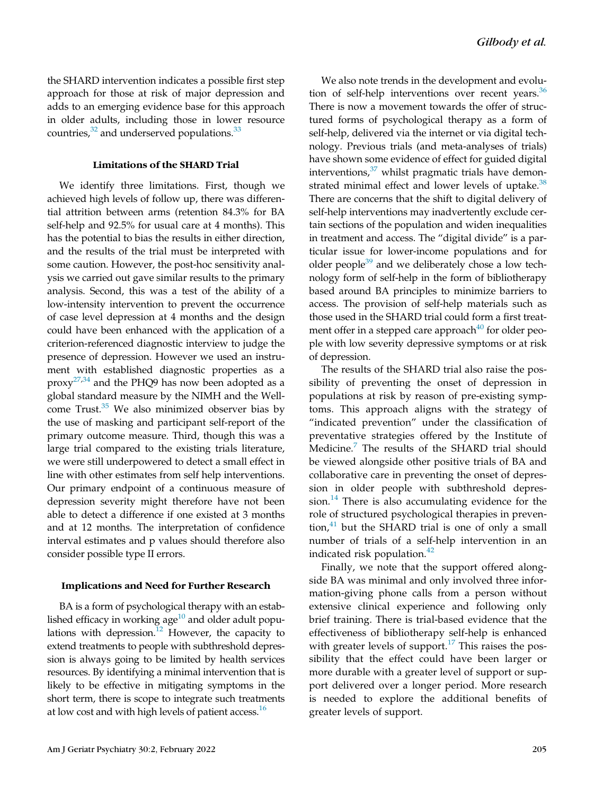the SHARD intervention indicates a possible first step approach for those at risk of major depression and adds to an emerging evidence base for this approach in older adults, including those in lower resource countries, $32$  and underserved populations.  $33$ 

## Limitations of the SHARD Trial

We identify three limitations. First, though we achieved high levels of follow up, there was differential attrition between arms (retention 84.3% for BA self-help and 92.5% for usual care at 4 months). This has the potential to bias the results in either direction, and the results of the trial must be interpreted with some caution. However, the post-hoc sensitivity analysis we carried out gave similar results to the primary analysis. Second, this was a test of the ability of a low-intensity intervention to prevent the occurrence of case level depression at 4 months and the design could have been enhanced with the application of a criterion-referenced diagnostic interview to judge the presence of depression. However we used an instrument with established diagnostic properties as a proxy<sup>27,34</sup> and the PHQ9 has now been adopted as a global standard measure by the NIMH and the Wellcome Trust. $35$  We also minimized observer bias by the use of masking and participant self-report of the primary outcome measure. Third, though this was a large trial compared to the existing trials literature, we were still underpowered to detect a small effect in line with other estimates from self help interventions. Our primary endpoint of a continuous measure of depression severity might therefore have not been able to detect a difference if one existed at 3 months and at 12 months. The interpretation of confidence interval estimates and p values should therefore also consider possible type II errors.

## Implications and Need for Further Research

BA is a form of psychological therapy with an established efficacy in working age $10$  and older adult populations with depression.<sup>12</sup> However, the capacity to extend treatments to people with subthreshold depression is always going to be limited by health services resources. By identifying a minimal intervention that is likely to be effective in mitigating symptoms in the short term, there is scope to integrate such treatments at low cost and with high levels of patient access.<sup>16</sup>

We also note trends in the development and evolution of self-help interventions over recent years. $36$ There is now a movement towards the offer of structured forms of psychological therapy as a form of self-help, delivered via the internet or via digital technology. Previous trials (and meta-analyses of trials) have shown some evidence of effect for guided digital interventions, $37$  whilst pragmatic trials have demonstrated minimal effect and lower levels of uptake.<sup>38</sup> There are concerns that the shift to digital delivery of self-help interventions may inadvertently exclude certain sections of the population and widen inequalities in treatment and access. The "digital divide" is a particular issue for lower-income populations and for older people $39$  and we deliberately chose a low technology form of self-help in the form of bibliotherapy based around BA principles to minimize barriers to access. The provision of self-help materials such as those used in the SHARD trial could form a first treatment offer in a stepped care approach $40$  for older people with low severity depressive symptoms or at risk of depression.

The results of the SHARD trial also raise the possibility of preventing the onset of depression in populations at risk by reason of pre-existing symptoms. This approach aligns with the strategy of "indicated prevention" under the classification of preventative strategies offered by the Institute of Medicine.<sup>7</sup> The results of the SHARD trial should be viewed alongside other positive trials of BA and collaborative care in preventing the onset of depression in older people with subthreshold depression. $14$  There is also accumulating evidence for the role of structured psychological therapies in prevention, $41$  but the SHARD trial is one of only a small number of trials of a self-help intervention in an indicated risk population.<sup>42</sup>

Finally, we note that the support offered alongside BA was minimal and only involved three information-giving phone calls from a person without extensive clinical experience and following only brief training. There is trial-based evidence that the effectiveness of bibliotherapy self-help is enhanced with greater levels of support.<sup>17</sup> This raises the possibility that the effect could have been larger or more durable with a greater level of support or support delivered over a longer period. More research is needed to explore the additional benefits of greater levels of support.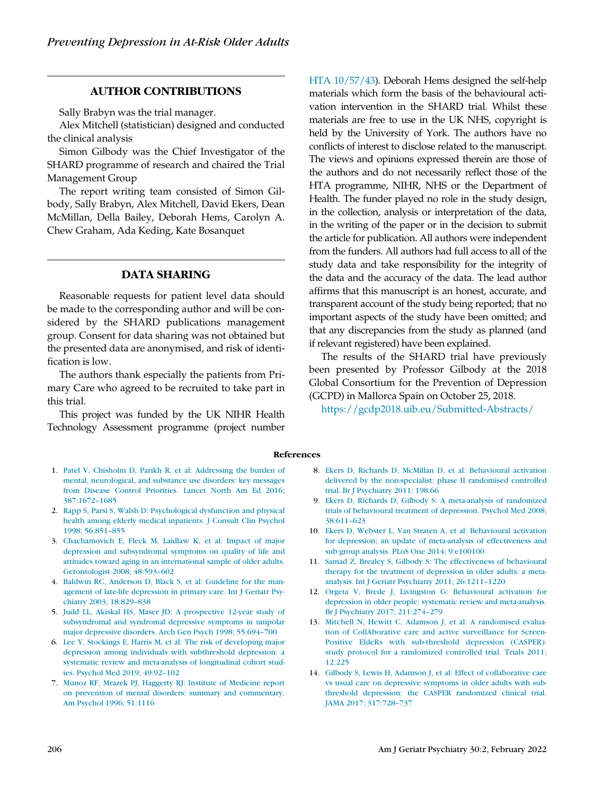## AUTHOR CONTRIBUTIONS

Sally Brabyn was the trial manager.

Alex Mitchell (statistician) designed and conducted the clinical analysis

Simon Gilbody was the Chief Investigator of the SHARD programme of research and chaired the Trial Management Group

The report writing team consisted of Simon Gilbody, Sally Brabyn, Alex Mitchell, David Ekers, Dean McMillan, Della Bailey, Deborah Hems, Carolyn A. Chew Graham, Ada Keding, Kate Bosanquet

## DATA SHARING

Reasonable requests for patient level data should be made to the corresponding author and will be considered by the SHARD publications management group. Consent for data sharing was not obtained but the presented data are anonymised, and risk of identification is low.

The authors thank especially the patients from Primary Care who agreed to be recruited to take part in this trial.

This project was funded by the UK NIHR Health Technology Assessment programme (project number

HTA 10/57/43). Deborah Hems designed the self-help materials which form the basis of the behavioural activation intervention in the SHARD trial. Whilst these materials are free to use in the UK NHS, copyright is held by the University of York. The authors have no conflicts of interest to disclose related to the manuscript. The views and opinions expressed therein are those of the authors and do not necessarily reflect those of the HTA programme, NIHR, NHS or the Department of Health. The funder played no role in the study design, in the collection, analysis or interpretation of the data, in the writing of the paper or in the decision to submit the article for publication. All authors were independent from the funders. All authors had full access to all of the study data and take responsibility for the integrity of the data and the accuracy of the data. The lead author affirms that this manuscript is an honest, accurate, and transparent account of the study being reported; that no important aspects of the study have been omitted; and that any discrepancies from the study as planned (and if relevant registered) have been explained.

The results of the SHARD trial have previously been presented by Professor Gilbody at the 2018 Global Consortium for the Prevention of Depression (GCPD) in Mallorca Spain on October 25, 2018.

https://gcdp2018.uib.eu/Submitted-Abstracts/

#### References

- 1. Patel V, Chisholm D, Parikh R, et al: Addressing the burden of mental, neurological, and substance use disorders: key messages from Disease Control Priorities. Lancet North Am Ed 2016; 387:1672–1685
- 2. Rapp S, Parsi S, Walsh D: Psychological dysfunction and physical health among elderly medical inpatients. J Consult Clin Psychol 1998; 56:851–855
- 3. Chachamovich E, Fleck M, Laidlaw K, et al: Impact of major depression and subsyndromal symptoms on quality of life and attitudes toward aging in an international sample of older adults. Gerontologist 2008; 48:593–602
- 4. Baldwin RC, Anderson D, Black S, et al: Guideline for the management of late-life depression in primary care. Int J Geriatr Psychiatry 2003; 18:829–838
- 5. Judd LL, Akiskal HS, Maser JD: A prospective 12-year study of subsyndromal and syndromal depressive symptoms in unipolar major depressive disorders. Arch Gen Psych 1998; 55:694–700
- 6. Lee Y, Stockings E, Harris M, et al: The risk of developing major depression among individuals with subthreshold depression: a systematic review and meta-analysis of longitudinal cohort studies. Psychol Med 2019; 49:92–102
- 7. Munoz RF, Mrazek PJ, Haggerty RJ: Institute of Medicine report on prevention of mental disorders: summary and commentary. Am Psychol 1996; 51:1116
- 8. Ekers D, Richards D, McMillan D, et al: Behavioural activation delivered by the non-specialist: phase II randomised controlled trial. Br J Psychiatry 2011; 198:66
- 9. Ekers D, Richards D, Gilbody S: A meta-analysis of randomized trials of behavioural treatment of depression. Psychol Med 2008; 38:611–623
- 10. Ekers D, Webster L, Van Straten A, et al: Behavioural activation for depression; an update of meta-analysis of effectiveness and sub group analysis. PLoS One 2014; 9:e100100
- 11. Samad Z, Brealey S, Gilbody S: The effectiveness of behavioural therapy for the treatment of depression in older adults: a metaanalysis. Int J Geriatr Psychiatry 2011; 26:1211–1220
- 12. Orgeta V, Brede J, Livingston G: Behavioural activation for depression in older people: systematic review and meta-analysis. Br J Psychiatry 2017; 211:274–279
- 13. Mitchell N, Hewitt C, Adamson J, et al: A randomised evaluation of CollAborative care and active surveillance for Screen-Positive EldeRs with sub-threshold depression (CASPER): study protocol for a randomized controlled trial. Trials 2011; 12:225
- 14. Gilbody S, Lewis H, Adamson J, et al: Effect of collaborative care vs usual care on depressive symptoms in older adults with subthreshold depression: the CASPER randomized clinical trial. JAMA 2017; 317:728–737